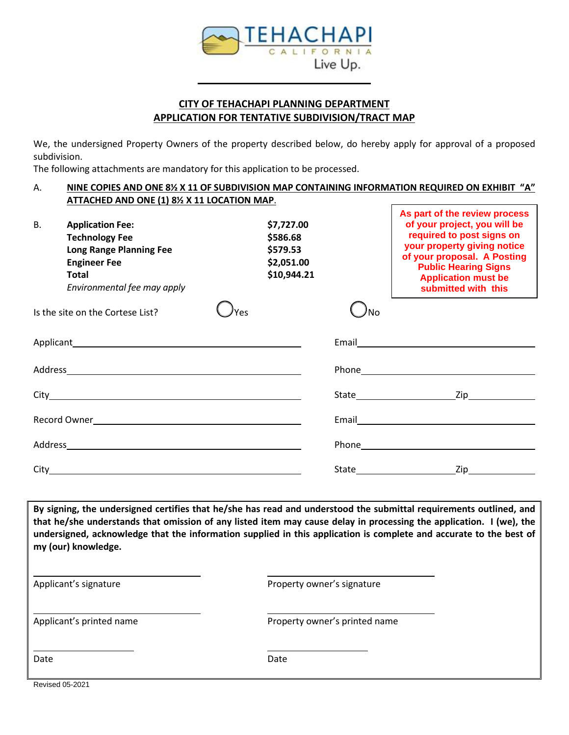

## **CITY OF TEHACHAPI PLANNING DEPARTMENT APPLICATION FOR TENTATIVE SUBDIVISION/TRACT MAP**

We, the undersigned Property Owners of the property described below, do hereby apply for approval of a proposed subdivision.

The following attachments are mandatory for this application to be processed.

#### A. **NINE COPIES AND ONE 8½ X 11 OF SUBDIVISION MAP CONTAINING INFORMATION REQUIRED ON EXHIBIT "A" ATTACHED AND ONE (1) 8½ X 11 LOCATION MAP**. **As part of the review process**

| <b>B.</b> | <b>Application Fee:</b><br><b>Technology Fee</b><br><b>Long Range Planning Fee</b><br><b>Engineer Fee</b><br>Total<br>Environmental fee may apply |  | \$7,727.00<br>\$586.68<br>\$579.53<br>\$2,051.00<br>\$10,944.21 |                  | AS part of the review process<br>of your project, you will be<br>required to post signs on<br>your property giving notice<br>of your proposal. A Posting<br><b>Public Hearing Signs</b><br><b>Application must be</b><br>submitted with this |
|-----------|---------------------------------------------------------------------------------------------------------------------------------------------------|--|-----------------------------------------------------------------|------------------|----------------------------------------------------------------------------------------------------------------------------------------------------------------------------------------------------------------------------------------------|
|           | Is the site on the Cortese List?                                                                                                                  |  |                                                                 | 'No              |                                                                                                                                                                                                                                              |
|           |                                                                                                                                                   |  |                                                                 |                  |                                                                                                                                                                                                                                              |
|           |                                                                                                                                                   |  |                                                                 |                  |                                                                                                                                                                                                                                              |
|           |                                                                                                                                                   |  |                                                                 |                  | State Zip                                                                                                                                                                                                                                    |
|           |                                                                                                                                                   |  |                                                                 |                  |                                                                                                                                                                                                                                              |
|           |                                                                                                                                                   |  |                                                                 |                  |                                                                                                                                                                                                                                              |
|           |                                                                                                                                                   |  |                                                                 | $\mathsf{Zip}\_$ |                                                                                                                                                                                                                                              |

**By signing, the undersigned certifies that he/she has read and understood the submittal requirements outlined, and that he/she understands that omission of any listed item may cause delay in processing the application. I (we), the undersigned, acknowledge that the information supplied in this application is complete and accurate to the best of my (our) knowledge.**

| Applicant's signature |
|-----------------------|
|-----------------------|

Property owner's signature

Applicant's printed name **Applicant's printed name** 

Date **Date** Date **Date** Date **Date** Date **Date** 

Revised 05-2021